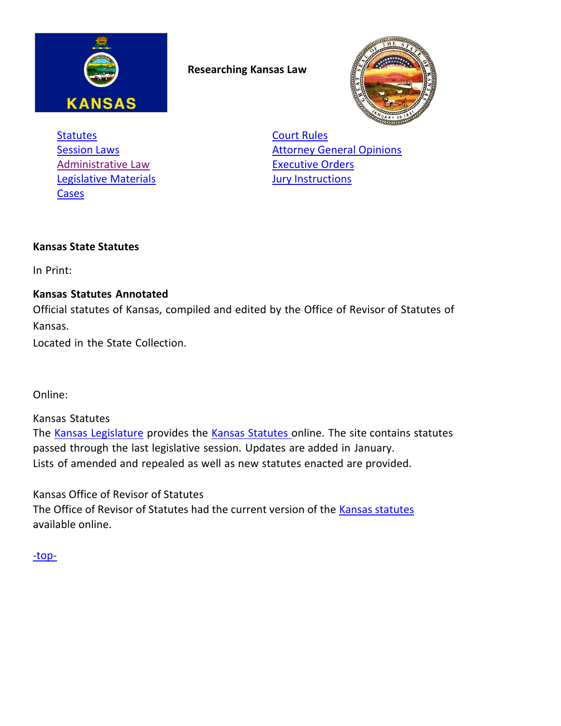

<span id="page-0-2"></span>**Researching Kansas Law**



**[Statutes](#page-0-0) [Court Rules](#page-2-0)** [Administrative Law](#page-1-0) **[Executive Orders](#page-3-0) [Legislative Materials](#page-1-1) Community Community** Survey Materials [Cases](#page-1-2)

**[Session Laws](#page-0-1) [Attorney General Opinions](#page-2-1)** 

## <span id="page-0-0"></span>**Kansas State Statutes**

In Print:

## **Kansas Statutes Annotated**

Official statutes of Kansas, compiled and edited by the Office of Revisor of Statutes of Kansas.

Located in the State Collection.

Online:

Kansas Statutes

The Kansas [Legislature](http://kslegislature.org/li/) provides the Kansas [Statutes](http://kslegislature.org/li/statute/) online. The site contains statutes passed through the last legislative session. Updates are added in January. Lists of amended and repealed as well as new statutes enacted are provided.

Kansas Office of Revisor of Statutes

<span id="page-0-1"></span>The Office of Revisor of Statutes had the current version of the [Kansas statutes](http://www.ksrevisor.org/ksa.html) available online.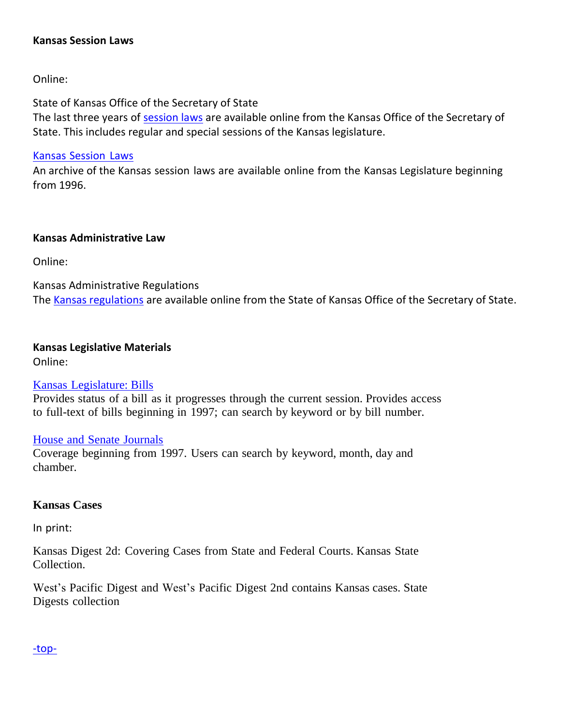#### **Kansas Session Laws**

Online:

State of Kansas Office of the Secretary of State

The last three years of [session laws](https://www.kssos.org/pubs/pubs_session_laws.aspx) are available online from the Kansas Office of the Secretary of State. This includes regular and special sessions of the Kansas legislature.

Kansas [Session](http://www.kansas.gov/government/legislative/sessionlaws/) Laws

An archive of the Kansas session laws are available online from the Kansas Legislature beginning from 1996.

#### <span id="page-1-0"></span>**Kansas Administrative Law**

Online:

Kansas Administrative Regulations The [Kansas regulations](https://www.kssos.org/pubs/pubs_kar.aspx) are available online from the State of Kansas Office of the Secretary of State.

# <span id="page-1-1"></span>**Kansas Legislative Materials**

Online:

## Kansas [Legislature: Bills](http://www.kslegislature.org/li/b2013_14/measures/bills/)

Provides status of a bill as it progresses through the current session. Provides access to full-text of bills beginning in 1997; can search by keyword or by bill number.

## [House](http://www.kansas.gov/government/legislative/journals/) and Senate [Journals](http://www.kansas.gov/government/legislative/journals/)

Coverage beginning from 1997. Users can search by keyword, month, day and chamber.

## <span id="page-1-2"></span>**Kansas Cases**

In print:

Kansas Digest 2d: Covering Cases from State and Federal Courts. Kansas State Collection.

West's Pacific Digest and West's Pacific Digest 2nd contains Kansas cases. State Digests collection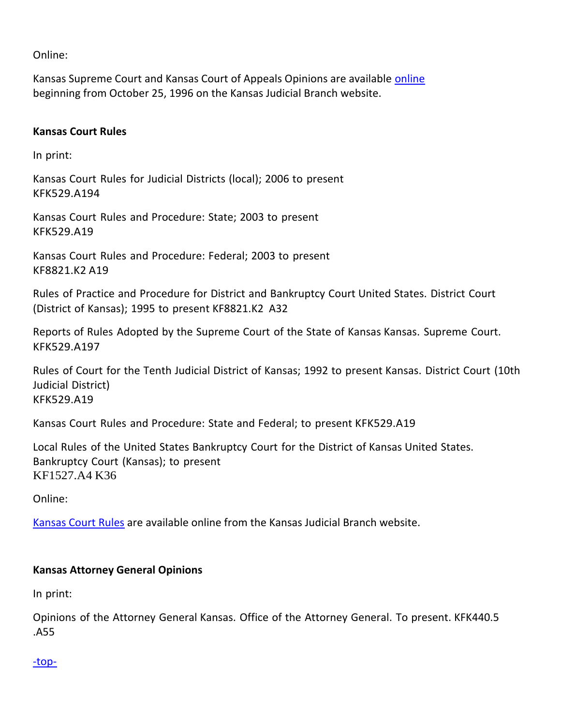Online:

Kansas Supreme Court and Kansas Court of Appeals Opinions are available [online](http://www.kscourts.org/Cases-and-Opinions/opinions/) beginning from October 25, 1996 on the Kansas Judicial Branch website.

#### <span id="page-2-0"></span>**Kansas Court Rules**

In print:

Kansas Court Rules for Judicial Districts (local); 2006 to present KFK529.A194

Kansas Court Rules and Procedure: State; 2003 to present KFK529.A19

Kansas Court Rules and Procedure: Federal; 2003 to present KF8821.K2 A19

Rules of Practice and Procedure for District and Bankruptcy Court United States. District Court (District of Kansas); 1995 to present KF8821.K2 A32

Reports of Rules Adopted by the Supreme Court of the State of Kansas Kansas. Supreme Court. KFK529.A197

Rules of Court for the Tenth Judicial District of Kansas; 1992 to present Kansas. District Court (10th Judicial District) KFK529.A19

Kansas Court Rules and Procedure: State and Federal; to present KFK529.A19

Local Rules of the United States Bankruptcy Court for the District of Kansas United States. Bankruptcy Court (Kansas); to present KF1527.A4 K36

Online:

<span id="page-2-1"></span>[Kansas Court Rules](http://www.kscourts.org/rules/default.asp) are available online from the Kansas Judicial Branch website.

## **Kansas Attorney General Opinions**

In print:

Opinions of the Attorney General Kansas. Office of the Attorney General. To present. KFK440.5 .A55